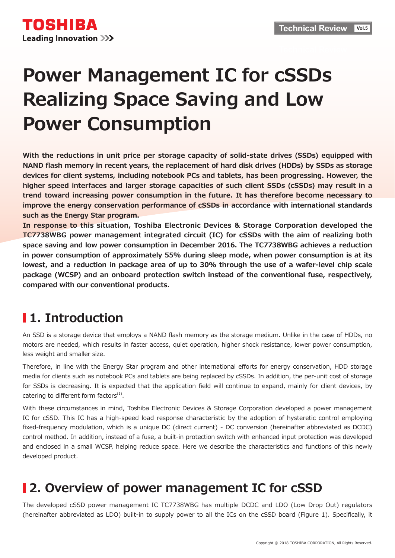# **Power Management IC for cSSDs Realizing Space Saving and Low Power Consumption**

With the reductions in unit price per storage capacity of solid-state drives (SSDs) equipped with **NAND flash memory in recent years, the replacement of hard disk drives (HDDs) by SSDs as storage** devices for client systems, including notebook PCs and tablets, has been progressing. However, the higher speed interfaces and larger storage capacities of such client SSDs (cSSDs) may result in a trend toward increasing power consumption in the future. It has therefore become necessary to improve the energy conservation performance of cSSDs in accordance with international standards such as the Energy Star program.

In response to this situation, Toshiba Electronic Devices & Storage Corporation developed the **TC7738WBG** power management integrated circuit (IC) for cSSDs with the aim of realizing both space saving and low power consumption in December 2016. The TC7738WBG achieves a reduction in power consumption of approximately 55% during sleep mode, when power consumption is at its lowest, and a reduction in package area of up to 30% through the use of a wafer-level chip scale package (WCSP) and an onboard protection switch instead of the conventional fuse, respectively, compared with our conventional products.

## **I** 1. Introduction

An SSD is a storage device that employs a NAND flash memory as the storage medium. Unlike in the case of HDDs, no motors are needed, which results in faster access, quiet operation, higher shock resistance, lower power consumption, less weight and smaller size.

Therefore, in line with the Energy Star program and other international efforts for energy conservation, HDD storage media for clients such as notebook PCs and tablets are being replaced by cSSDs. In addition, the per-unit cost of storage for SSDs is decreasing. It is expected that the application field will continue to expand, mainly for client devices, by catering to different form factors $<sup>(1)</sup>$ .</sup>

With these circumstances in mind, Toshiba Electronic Devices & Storage Corporation developed a power management IC for cSSD. This IC has a high-speed load response characteristic by the adoption of hysteretic control employing fixed-frequency modulation, which is a unique DC (direct current) - DC conversion (hereinafter abbreviated as DCDC) control method. In addition, instead of a fuse, a built-in protection switch with enhanced input protection was developed and enclosed in a small WCSP, helping reduce space. Here we describe the characteristics and functions of this newly developed product.

### **12. Overview of power management IC for cSSD**

The developed cSSD power management IC TC7738WBG has multiple DCDC and LDO (Low Drop Out) regulators (hereinafter abbreviated as LDO) built-in to supply power to all the ICs on the cSSD board (Figure 1). Specifically, it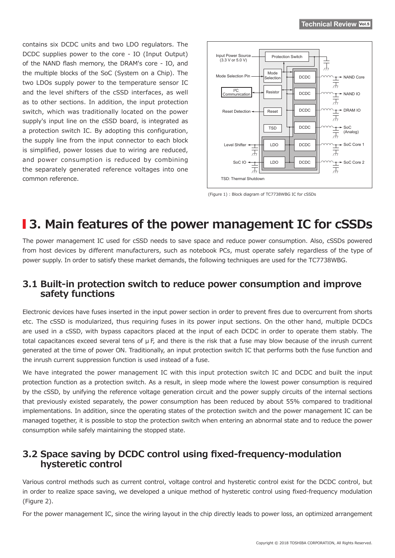contains six DCDC units and two LDO regulators. The DCDC supplies power to the core - IO (Input Output) of the NAND flash memory, the DRAM's core - IO, and the multiple blocks of the SoC (System on a Chip). The two LDOs supply power to the temperature sensor IC and the level shifters of the cSSD interfaces, as well as to other sections. In addition, the input protection switch, which was traditionally located on the power supply's input line on the cSSD board, is integrated as a protection switch IC. By adopting this configuration, the supply line from the input connector to each block is simplified, power losses due to wiring are reduced, and power consumption is reduced by combining the separately generated reference voltages into one common reference.



(Figure 1) : Block diagram of TC7738WBG IC for cSSDs

### **13. Main features of the power management IC for cSSDs**

The power management IC used for cSSD needs to save space and reduce power consumption. Also, cSSDs powered from host devices by different manufacturers, such as notebook PCs, must operate safely regardless of the type of power supply. In order to satisfy these market demands, the following techniques are used for the TC7738WBG.

#### **3.1 Built-in protection switch to reduce power consumption and improve** safety functions

Electronic devices have fuses inserted in the input power section in order to prevent fires due to overcurrent from shorts etc. The cSSD is modularized, thus requiring fuses in its power input sections. On the other hand, multiple DCDCs are used in a cSSD, with bypass capacitors placed at the input of each DCDC in order to operate them stably. The total capacitances exceed several tens of  $\mu$  F, and there is the risk that a fuse may blow because of the inrush current generated at the time of power ON. Traditionally, an input protection switch IC that performs both the fuse function and the inrush current suppression function is used instead of a fuse.

We have integrated the power management IC with this input protection switch IC and DCDC and built the input protection function as a protection switch. As a result, in sleep mode where the lowest power consumption is required by the cSSD, by unifying the reference voltage generation circuit and the power supply circuits of the internal sections that previously existed separately, the power consumption has been reduced by about 55% compared to traditional implementations. In addition, since the operating states of the protection switch and the power management IC can be managed together, it is possible to stop the protection switch when entering an abnormal state and to reduce the power consumption while safely maintaining the stopped state.

### **3.2 Space saving by DCDC control using fixed-frequency-modulation control hysteretic**

Various control methods such as current control, voltage control and hysteretic control exist for the DCDC control, but in order to realize space saving, we developed a unique method of hysteretic control using fixed-frequency modulation  $(Figure 2)$ .

For the power management IC, since the wiring layout in the chip directly leads to power loss, an optimized arrangement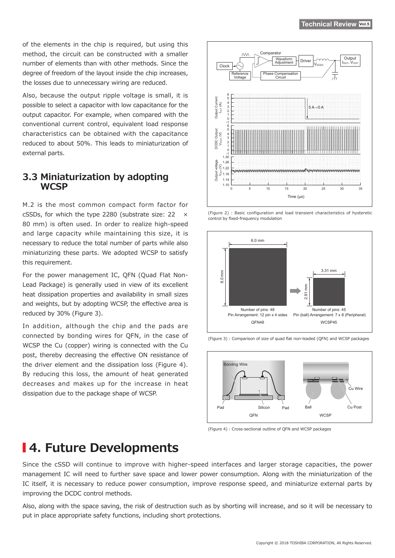of the elements in the chip is required, but using this method, the circuit can be constructed with a smaller number of elements than with other methods. Since the degree of freedom of the layout inside the chip increases, the losses due to unnecessary wiring are reduced.

Also, because the output ripple voltage is small, it is possible to select a capacitor with low capacitance for the output capacitor. For example, when compared with the conventional current control, equivalent load response characteristics can be obtained with the capacitance reduced to about 50%. This leads to miniaturization of external parts.

#### **3.3 Miniaturization by adopting WCSP**

M.2 is the most common compact form factor for cSSDs, for which the type 2280 (substrate size: 22 80 mm) is often used. In order to realize high-speed and large capacity while maintaining this size, it is necessary to reduce the total number of parts while also miniaturizing these parts. We adopted WCSP to satisfy this requirement.

Lead Package) is generally used in view of its excellent For the power management IC, OFN (Quad Flat Nonheat dissipation properties and availability in small sizes and weights, but by adopting WCSP, the effective area is reduced by 30% (Figure 3).

In addition, although the chip and the pads are connected by bonding wires for QFN, in the case of WCSP the Cu (copper) wiring is connected with the Cu post, thereby decreasing the effective ON resistance of the driver element and the dissipation loss (Figure 4). By reducing this loss, the amount of heat generated decreases and makes up for the increase in heat dissipation due to the package shape of WCSP.









(Figure 3) : Comparison of size of quad flat non-leaded (QFN) and WCSP packages

(Figure 4) : Cross-sectional outline of OFN and WCSP packages

### **14. Future Developments**

Since the cSSD will continue to improve with higher-speed interfaces and larger storage capacities, the power management IC will need to further save space and lower power consumption. Along with the miniaturization of the IC itself, it is necessary to reduce power consumption, improve response speed, and miniaturize external parts by improving the DCDC control methods.

Also, along with the space saving, the risk of destruction such as by shorting will increase, and so it will be necessary to put in place appropriate safety functions, including short protections.